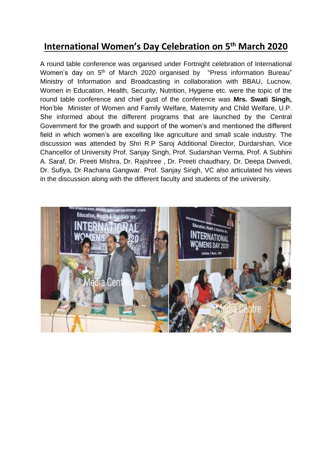## **International Women's Day Celebration on 5 th March 2020**

A round table conference was organised under Fortnight celebration of International Women's day on 5<sup>th</sup> of March 2020 organised by "Press information Bureau" Ministry of Information and Broadcasting in collaboration with BBAU, Lucnow. Women in Education, Health, Security, Nutrition, Hygiene etc. were the topic of the round table conference and chief gust of the conference was **Mrs. Swati Singh,**  Hon'ble Minister of Women and Family Welfare, Maternity and Child Welfare, U.P. She informed about the different programs that are launched by the Central Government for the growth and support of the women's and mentioned the different field in which women's are excelling like agriculture and small scale industry. The discussion was attended by Shri R.P Saroj Additional Director, Durdarshan, Vice Chancellor of University Prof. Sanjay Singh, Prof. Sudarshan Verma, Prof. A Subhini A. Saraf, Dr. Preeti Mishra, Dr. Rajshree , Dr. Preeti chaudhary, Dr. Deepa Dwivedi, Dr. Sufiya, Dr Rachana Gangwar. Prof. Sanjay Singh, VC also articulated his views in the discussion along with the different faculty and students of the university.

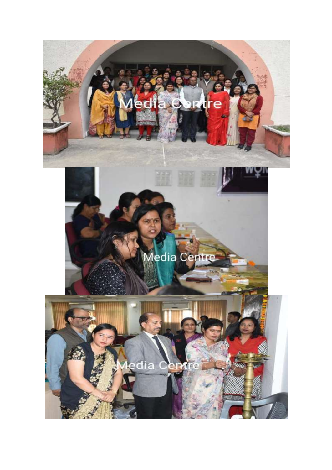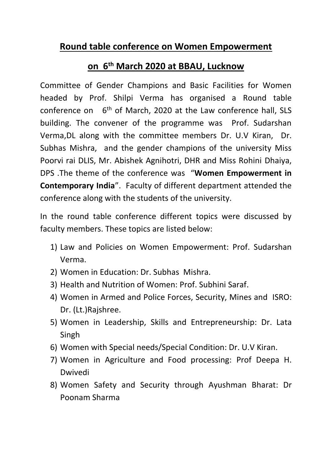### **Round table conference on Women Empowerment**

### **on 6th March 2020 at BBAU, Lucknow**

Committee of Gender Champions and Basic Facilities for Women headed by Prof. Shilpi Verma has organised a Round table conference on  $6<sup>th</sup>$  of March, 2020 at the Law conference hall, SLS building. The convener of the programme was Prof. Sudarshan Verma,DL along with the committee members Dr. U.V Kiran, Dr. Subhas Mishra, and the gender champions of the university Miss Poorvi rai DLIS, Mr. Abishek Agnihotri, DHR and Miss Rohini Dhaiya, DPS .The theme of the conference was "**Women Empowerment in Contemporary India**". Faculty of different department attended the conference along with the students of the university.

In the round table conference different topics were discussed by faculty members. These topics are listed below:

- 1) Law and Policies on Women Empowerment: Prof. Sudarshan Verma.
- 2) Women in Education: Dr. Subhas Mishra.
- 3) Health and Nutrition of Women: Prof. Subhini Saraf.
- 4) Women in Armed and Police Forces, Security, Mines and ISRO: Dr. (Lt.)Rajshree.
- 5) Women in Leadership, Skills and Entrepreneurship: Dr. Lata Singh
- 6) Women with Special needs/Special Condition: Dr. U.V Kiran.
- 7) Women in Agriculture and Food processing: Prof Deepa H. Dwivedi
- 8) Women Safety and Security through Ayushman Bharat: Dr Poonam Sharma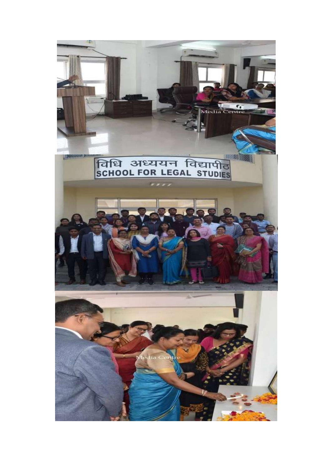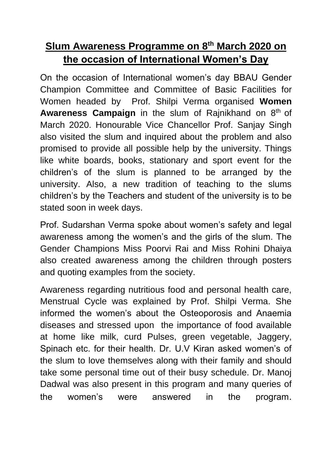# **Slum Awareness Programme on 8th March 2020 on the occasion of International Women's Day**

On the occasion of International women's day BBAU Gender Champion Committee and Committee of Basic Facilities for Women headed by Prof. Shilpi Verma organised **Women Awareness Campaign** in the slum of Rajnikhand on 8<sup>th</sup> of March 2020. Honourable Vice Chancellor Prof. Sanjay Singh also visited the slum and inquired about the problem and also promised to provide all possible help by the university. Things like white boards, books, stationary and sport event for the children's of the slum is planned to be arranged by the university. Also, a new tradition of teaching to the slums children's by the Teachers and student of the university is to be stated soon in week days.

Prof. Sudarshan Verma spoke about women's safety and legal awareness among the women's and the girls of the slum. The Gender Champions Miss Poorvi Rai and Miss Rohini Dhaiya also created awareness among the children through posters and quoting examples from the society.

Awareness regarding nutritious food and personal health care, Menstrual Cycle was explained by Prof. Shilpi Verma. She informed the women's about the Osteoporosis and Anaemia diseases and stressed upon the importance of food available at home like milk, curd Pulses, green vegetable, Jaggery, Spinach etc. for their health. Dr. U.V Kiran asked women's of the slum to love themselves along with their family and should take some personal time out of their busy schedule. Dr. Manoj Dadwal was also present in this program and many queries of the women's were answered in the program.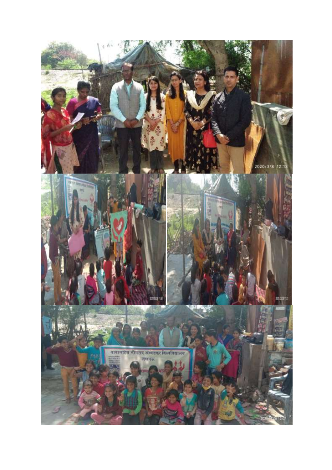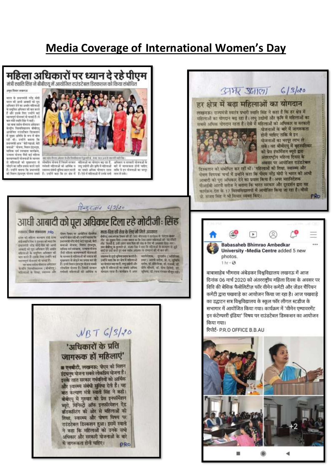# **Media Coverage of International Women's Day**



मामिक धर्म स्थलाता कार्यक्रम उत्पास चोक्य केंसे कई महिला<br>कल्याचारी चोक्यओं के लाभग से मॉडलऑ को मुख्यमंत्रा से में इने का सदैव प्रपास करते रहते it's traited speed the teamedab

**HEIRS SON BROOK PRO** 

since all affrom account this trust

.<br>मार्के स्वर्गत स्थित ने गुरु बार को भारत कि<br>प्रभारतलों - सेवा मोदी खेता और अपनी

आबादी को पूरा अधिकार देने अन्तीत

न्यालको के समुचित अधिकार को<br>बात करते हैं। इसके लिए उन्होंने कई<br>महत्वपूर्ण बोलताई थी चाराई हैं।

.<br>सहीर विल्कीमाला (बीबीएर्)<br>महिलाओं के लिख, स्वास्थ्य और

id an must बेबा साहित m:14 लय ने कुल सोकप्रिय मोजना है जिसमें सरकार नहीं लांची का पोपडन बड़ रहा है सर्वको महिलाओं को आधिक व tempe videl offise gene scott

> चर्चा में बैल शी ची उन्होंने बताय कि चमान बाद रहा था। उन्हान बनाय एक<br>प्रधानमंत्री नरेंद्र मोदी बेटी प्रदाओ, बेटी<br>बनाउने-बोजना, सिक्कन-दिप्पनुष,

मानिक शर्म स्वच्छता, उज्ज्वला केनन्त्र<br>जैसी महिला अल्पागकारी बीजनाओं

के माध्यम से महिलाओं को ममाज की

क मामल से लिइने का प्रयास कर रहे<br>हैं। इनमें मिशन इंदराजून फेलना सबसे<br>लोकप्रिय शोजना है। जिसमें सरकार

which allowed at arbitr a

सके। यह बीबीएय में मुहस्सतिवार को प्रेस इंफॉर्मेशन ब्युरो डारा अंतरराष्ट्रीय महिला दिवस के अवसर पर आयोजित राउंडटेबल दिस्काशन को संबोधित कर रहीं थीं। 'महिलाओं की शिक्षा, स्थास्थ्य और पोषण विषयक चर्चा में उन्होंने कहा कि पीएम नरेंद्र मोदी ने भारत की आधी आबादी को पूरा अधिकार देने का प्रयास किया है। अपर महानिदेशक पीआईबी आरपी सरोज ने बताया कि भारत सरकार और दूरदर्शन द्वारा यह

कार्यक्रम देश के 17 विश्वविद्यालयों में आयोजित किया जा रहा है। वीसी

प्रो. संजय सिंह ने भी विचार व्यक्त किए।

 $\left| \cdot \right|$ **Babasaheb Bhimrao Ambedkar** ... University - Media Centre added 5 new photos.  $1 hr \cdot 0$ 

PR<sub>D</sub>:

बाबासाहेब भीमराव अंबेडकर विश्वविद्यालय लखनऊ में आज दिनांक 06 मार्च 2020 को अंतरराष्ट्रीय महिला दिवस के अवसर पर विवि की बेसिक फैसेलिटीज फॉर वीमेन कमेटी और जेंडर चैंपियन कमेटी द्वारा पखवाडे का आयोजन किया जा रहा है। आज पखवाडे का उद्घाटन सत्र विश्वविद्यालय के स्कल फॉर लीगल स्टडीज के सभागार में आयोजित किया गया। कार्यक्रम में 'वीमेन एम्पावरमेंट इन कंटेम्पररी इंडिया' विषय पर राउंडटेबल डिस्कशन का आयोजन किया गया।

रिपोर्ट- P.R.O OFFICE B.B.AU



#### आधी आबादी को पूरा अधिकार दिला रहे मोदीजी: सिंह माता-पिता की सेवा के लिए भी मिले अदकाश

काला - पाया पाया दाया पर 1010 का 1010 अपना कारणता ।<br>कीर्याय समझन किया थी ही अंश मौजना ने करांडम में "मिटल केमेर"<br>लैंक "का सुबन देवा। उनका कहना या कि जब उच्चा महिलाओं की "मैटरनियाँ<br>लैंक "मैलनी है, उसी प्रारंभ मन कहना या न

स्वास्थ्य से गुड़ी सुविधा कहा। करानी है। स्थानिदेशक<br>उन्होंने कहा कि तर क्षेत्र में महिलाओं - प्रभार ) आरपी<br>कार्यकड़न बढ़ रहा है, रुपू जर्करों और - मार्गम, तो और<br>दोश्यन राजा है। कार्याक्रम में अपन - मुकिया, जी. रु<br>दोश्यन र सानिदेशक, दृश्यतीन (अतिरिक्त<br>प्रभार) आसी सरीज, प्री. ए. सुविति<br>सरीफ, डॉ. प्रेतिसिया, डॉ. राजकी, डॉ.<br>पॉरि खेघरी, डॉ. दोस हिलेसी, डॉ. मामिया, जॉ. रचना संख्या मौजूद मही।



#### selvant a mouth share at its रस्यु प्रयोगों और कृषि में महिलाओं - बारे में जानकाकता शोनी an mult after three core, who it as showed at very को मिशन इंडप्रमुख पोजना सकते . है। उन्होंने कहा कि इर क्षेत्र में . है। ऐसे में महिलाओं में उनके सभी . लाभ ले सके

 $\frac{2}{\sqrt{2}-5}$   $\frac{1}{4}$   $\frac{1}{2}$ 

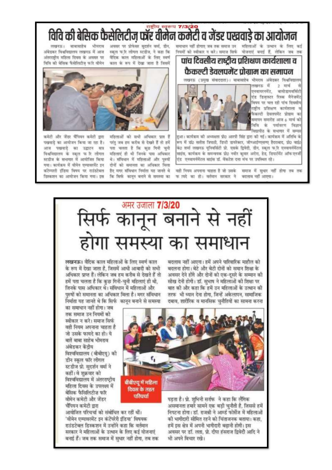#### विवि की बेसिक फैसेलिटीज़ फॉर वीमेन कमेटी व जेंडर पखवाड़े का आयोजन महिल्लाओं के town is fire and

regards aromatical sfrazru अंबेडकर विश्वविद्यालय लखनऊ में आज अंतरराष्ट्रीय महिला दिवस के आवसर पर विवि की बेसिक फैसेलिटीज फॉर वीमेन

अथसर पर प्रोफेसर सूदर्शन वर्मा, डीन, स्कल फॉर लीगल स्टडीज, ने कहा कि वैदिक काल महिलाओं के लिए स्वर्ण काल के रूप में देखा जाता है जिसमें



कमेटी और जेंदर पैंपियन कमेटी हारा पश्चवादे का आयोजन किया जा रहा है। आज पखवाड़े का उद्घाटन सत्र विश्वविद्यालय के स्थाल फ. रि. लीगल स्टडीज के संभागार में अत्योजित किया गया। कार्यक्रम में योगेन एम्यावरमेंट इन कटिम्पररी इंडिया विषय पर राउंडटेबल

महिम्माओं को मधी अधिकार पान है परंतु जब हम करीब से देखते हैं तो हमें पता चलता है कि कुछ गिनी चुनी महिलाएं ही थी जिनके पास अधिकार थे। संविधान में महिलाओं और पुरुषों दोनों को समानता का अधिकार मिला हैए मगर संविधान निर्माता यह जानते थे डिस्कशन का अध्योजन किया गया। इस कि सिर्फ कानून बनाने से समस्या का

#### पांच दिवसीय राष्ट्रीय प्रशिक्षण कार्यशाला व फैकल्टी डेवलपमेंट पोगाम का समापन

नियमों को स्थीकार न करें। समाज सिर्फ योजनाएं बनाई हैं, लेकिन जब तक

(प्रमुख संवाददाता)। बाबासाहेब भीमराव अंबेडकर विश्वविद्यालय

 $2$  must

र्पड डिजास्टर रिस्क मैनेजमेंट तपय पर चल रही पांच दिवसीय गारीय प्रशिक्षण कार्यशाला ग फैकल्टी डेवलपमेंट प्रीग्राम का समापन समारोह आज ८ मार्च को

आयो दायवस्थिती

नमानक में

*जनवायानॉॅंट* 



बिवि  $\pm$ uutarm finan-बिद्यापीठ के सभागार में सम्पन्न हाजा। कार्यऋम की अध्यक्षता प्रो0 अस्पी सिंह द्वारा की गई। कार्यऋम में अतिथि के रूप में डॉo सतीश तिपाठी, डिप्टी डायरेक्टर, जीणआईणएसणए हैदराबाद, प्रोo पाईo के0 शर्मा लखनऊ यूनिवर्सिटी प्रो. एसके द्विवेदी, डोन, स्कूल फ़ॉर एनवायनमेंटल साइंस, कार्यक्रम के समन्वयक प्रो0 नवीर कमार अरोरा, हेड, डिपार्टमेंट ऑफ एनजी एंड एनवायर्नमेंटल माइंस डॉ. वेंकटेश दत्ता मंच पर उपस्थित रहे।

वही नियम अपनाना चाहता है जो उसके समाज में सुधार नहीं होगा तब तक फ ग्वंदे का हो। मर्तमान सरकार ने बदलाव नहीं आएगा।



लखनऊ। वैदिक काल महिलाओं के लिए स्वर्ण काल के रूप में देखा जाता है. जिसमें आधी आबादी को सभी अधिकार प्राप्त हैं। लेकिन जब हम करीब से देखते हैं तो हमें पता चलता है कि कुछ गिनी-चुनी महिलाएं ही थी, जिनके पास अधिकार थे। संविधान में महिलाओं और पुरुषों को समानता का अधिकार मिला है। मगर संविधान निर्माता यह जानते थे कि सिर्फ कानून बनाने से समस्या

का समाधान नहीं होगा। जब तक समाज उन नियमों को स्वीकार न करें। समाज सिर्फ वही नियम अपनाना चाहता है जो उसके फायदे का हो। ये बातें बाबा साहेब भीमराव अंबेडकर केंद्रीय विश्वविद्यालय (बीबीएयु) की डीन स्कल फॉर लीगल स्टडीज प्रो. सुदर्शन वर्मा ने कहीं। वे शुक्रवार को विश्वविद्यालय में अंतरराष्टीय महिला दिवस के उपलक्ष्य में बेसिक फैसिलिटीज फॉर वीमेन कमेटी और जेंडर चैंपियन कमेटी द्वारा

बदलना होगा। बेटे और बेटी दोनों को समान शिक्षा के अवसर देने होंगे और दोनों को एक-दूसरे के सम्मान की सीख देनी होगी। डॉ. सभाष ने महिलाओं को शिक्षा पर बात की और कहा कि हमें उन महिलाओं के उत्थान की तरफ भी ध्यान देना होगा, जिन्हें अकेलापन, सामाजिक दबाव, शारीरिक व मानसिक चनौतियों का सामना करना

बटलाव नहीं आएगा। हमें अपने पारिवारिक माहौल को



परिचर्चा

आयोजित परिचर्चा को संबोधित कर रहीं थीं। 'वीमेन एम्पावरमेंट इन कंटेंपरेरी इंडिया' विषयक राउंडटेबल डिस्कशन में उन्होंने कहा कि वर्तमान सरकार ने महिलाओं के उत्थान के लिए कई योजनाएं बनाई हैं। जब तक समाज में सुधार नहीं होगा, तब तक

पड़ता है। प्रो. शूभिनी सर्राफ़ ने कहा कि लैंगिक असमानता हमारे सामने एक बड़ी चुनौती है, जिससे हमें निपटना होगा। डॉ. राजश्री ने आमर्ड फोर्सेज में महिलाओं को भागोदारी सीमित रहने को चिंताजनक बताया। कारा. हमें इस क्षेत्र में अपनी भागीदारी बढ़ानी होगी। इस अवसर पर डॉ. लता. प्रो. दीपा हंसराज द्विवेदी आदि ने भी अपने विचार रखें।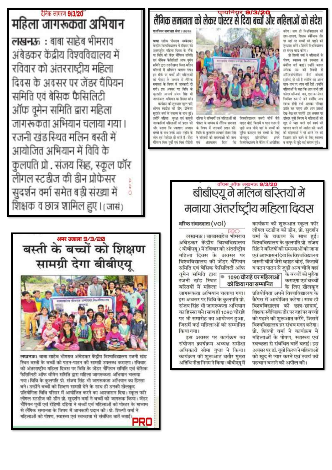# लैंगिक समानता को लेकर पोस्टर से दिया बच्चों और महिलाओं को संदेश



दृष्टिया ने अभिनयों एवं महिल्लाओं को पित्रपविद्यालय जरूरी भीनों जैसे पोस्टर के माध्यम मे लैंगिक ममानत के विषय में जानकारी प्रदान की। विवि के कुलपति आचार्य संजय सिंह ने बॉस्ल्वें को सम्प्रदाओं को जान traf **ADVISED** दिया कि विश्वविद्यालय के बैंपेस में आयोजित

केन्द्रीय विश्वविद्यालय में रविवार को अंतरराष्ट्रीय महिला दिवस के मौके पा विधि को जेंदर पींपयन समिति एवं बेरियह फैसिसिस्टी आफ मुमेन समिति द्वारा रजनीखण्ड स्थित मलिन बस्तियों में अधियान जानाया गया। इस मौके पर बच्चों और महिलाओं को पोस्टर के माध्यम से लैंगिक समानता के लिएम में जानकारों दी गयी। इस अवसर पर बिचि ने बलपति आचार्य संजय सिंह भी गणनकता अभियान का विस्मा बने। पटवंडम को जरुरात स्क्रम परी

पायनियर समाचार सेवा। लखना

बाबा सहेब भोमतव अम्बेहकर

लीगत स्टडीज को डीन, प्रोफेसर सदर्शन क्यों के सन्तान के माथ गई। उन्होंने महिला सुरक्षा एवं कानूनी जनकडीयां महिलाओं को प्रदान को और बताया कि ल्यादातर अपराध बच्चों के साथ उनके आस-पहोस के लोग एवं रिश्तेदार ही करते हैं। जेंडर वैधियन मिस पूर्वी एवं मिस रोहिणी

**लखनऊ** : बाबा साहेब भीमराव अंबेडकर केंद्रीय विश्वविद्यालय में रविवार को अंतरराष्ट्रीय महिला दिवस के अवसर पर जेंडर चैंपियन समिति एवं बेसिक फैसिलिटी ऑफ वूमेन समिति द्वारा महिला जागरूकता अभियान चलाया गया । रजनी खंड स्थित मलिन बस्ती में आयोजित अभियान में विवि के कुलपति प्रो . संजय सिंह, स्कूल फॉर लीगल स्टडीज की डीन प्रोफेसर सुदर्शन वर्मा समेत बड़ी संख्या में शिक्षक व छात्र शामिल हुए । (जासं)

दैनिक जागरण **9/3/20** 

महिला जागरूकता अभियान

# बीबीएयू ने मलिन बस्तियों में मनाया अंतर्राष्ट्रीय महिला दिवस

**DDO** 

खेलकद

व्याइट बोर्ड, किताबें व पतन पाउन से

तुई अन्य चीते पार्ट के बच्चों को

महैश कराएगा एवं बच्चों के लिए

प्रतियोगिता

अपने

कार्यक्रम की शुरूआत स्कूल फॉर लीगल स्टडीज की डीन, प्रो. सुदर्शन वर्मा के वक्तव्य के साथ हुई। विश्वविद्यालय के कलपति प्रो. संजय सिंह ने बस्तियों की समस्याओं को जाना एवं आश्वासन दिया कि विश्वविद्यालय जरूरी चीजें जैसे व्हाइट बोर्ड, किताबें व पठन पाठन से जड़ी अन्य चीजे यहां

विश्वविद्यालय हर संभव मदद करेगा। प्रो. शिल्पी वर्मा ने कार्यक्रम में

महिलाओं के पोषण, स्वास्थ्य एवं

स्वच्छता से संबंधित बातें बताई। इस

अवसर पर डॉ. युवी किरण ने महिलाओं

को खुद से प्यार करने एवं स्वयं की

पहचान बनाने की अपील की।

के बच्चों को महैया कराएगा एवं बच्चों के लिए खेलकद

सत्र-खबर, शिक्षक सीचिक तीर

पर यहां पर बच्चों को पहने को शुरुआत करेंगे। किसमें विश्वविद्यालय

पी जिल्मी आर्य ने मुख्याओं के

these passes not passes to

संबंधित बातें बताई। उन्होंने बताया

अधिक उम्र की स्त्रियों में

ऑफिस्पोपोरेसिस जैसी बोसारी

इस्तीतए हो रही है क्योंकि यह अपने

खन-पार पर ध्यान नहीं देखे। उन्होंने

महिलाओं से कहा कि अग्न मध्ये हरे

पतेदार सकितमां, चना, दाल का सेवन

नियमित रूप से करें क्योंकि आप

म्बन्ध होगी तभी अन्यन परिवार

auth are worn after any sangli

देख-रेख कर पर्यायो। यस अखमा पर

डॉक्टर एवी किरण ने महिलाओं को

खुद से प्यार करने एवं स्थायं को

पड़नान बनाने की अपील की। सस्ती

को महिलाओं ने भी अपने मन को

जिज्ञासा शांत करने के लिए स्वास्थ्य

व कापून से जुड़े कई सवाल पूरो।

का संख्य प्रश्ट करेगा।

● 1090 चौराहे पर महिलाओं

को किया गया सम्मानित प्रतियोगिता अपने विश्वविद्यालय के कैंपस में आयोजित करेगा। साथ ही विश्वविद्यालय की छात्र-छात्राएं. शिक्षक स्वैच्छिक तौर पर यहां पर बच्चों को पढ़ाने की शुरूआत करेंगे, जिसमें

जिसमें कई महिलाओं को सम्मानित

इस अवसर पर कार्यक्रम का संयोजन क्रार्यक्रम अध्यक्ष समीक्षा अधिकारी सीमा गुप्ता ने किया। कार्यक्रम की शुरूआत बतौर मुख्य

रजनी खंड स्थित बस्तियों में महिला जागरूकता अभियान चलाया गया। इस अवसर पर विवि के कुलपति प्रो. संजय सिंह भी जागरूकता अभियान का हिस्सा बने। साथ ही 1090 चौराहे पर भी समारोह का आयोजन हुआ,

वरिष्ठ संवाददाता (VOI)

वमेन समिति द्वारा

लखनऊ। बाबासाहेब भीमराव

अंबेडकर केंद्रीय विश्वविद्यालय

( बीबीएय्) में रविवार को अंतर्राष्टीय

महिला दिवस के अवसर पर

विश्वविद्यालय की जेंडर चैंपियन

समिति एवं बेसिक फैसिलिटी ऑफ

किया गया। अतिथि नीता निगम ने किया। बीबीएयु में



लखनऊ। बाबा साहेब भौमराव अंबेडकर केंद्रीय विश्वविद्यालय रजनी खंड स्थित बस्तों के बच्चों को पठन-पाठन की सामग्री उपलब्ध कराएगा। रविवार को अंतरराष्ट्रीय महिला दिवस पर विवि के जेंडर चैंपियन समिति एवं बेसिक फैसिलिटी ऑफ बीमेन समिति द्वारा महिला जागरूकता अभियान चलाया गया। विवि के कुलपति प्रो. संजय सिंह भी जागरूकता अभियान का हिस्सा बने। उन्होंने बच्चों को शिक्षण सामग्री देने के साथ ही उनकी खेलकुद प्रतियोगिता विवि परिसर में अायोजित करने का आश्वासन दिया। स्कूल फॉर लीगल स्टडीज की डीन प्रो. सुदर्शन वर्मा ने बच्चों को जागरूक किया। जेंडर चैंपियन पूर्वी एवं रोहिणी दहिया ने बच्चों एवं महिलाओं को पोस्टर के माध्यम से लैंगिक समानता के विषय में जानकारी प्रदान की। प्रो. शिल्पी वर्मा ने महिलाओं को पोषण, स्वास्थ्य एवं स्वच्छता से संबंधित बातें बताई। 담권대